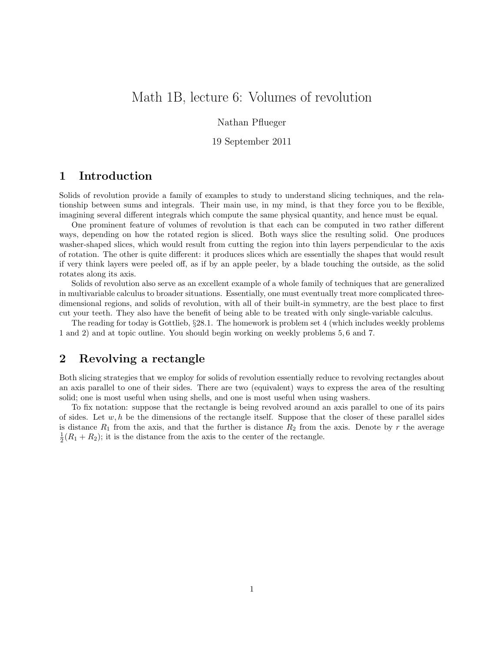# Math 1B, lecture 6: Volumes of revolution

Nathan Pflueger

19 September 2011

### 1 Introduction

Solids of revolution provide a family of examples to study to understand slicing techniques, and the relationship between sums and integrals. Their main use, in my mind, is that they force you to be flexible, imagining several different integrals which compute the same physical quantity, and hence must be equal.

One prominent feature of volumes of revolution is that each can be computed in two rather different ways, depending on how the rotated region is sliced. Both ways slice the resulting solid. One produces washer-shaped slices, which would result from cutting the region into thin layers perpendicular to the axis of rotation. The other is quite different: it produces slices which are essentially the shapes that would result if very think layers were peeled off, as if by an apple peeler, by a blade touching the outside, as the solid rotates along its axis.

Solids of revolution also serve as an excellent example of a whole family of techniques that are generalized in multivariable calculus to broader situations. Essentially, one must eventually treat more complicated threedimensional regions, and solids of revolution, with all of their built-in symmetry, are the best place to first cut your teeth. They also have the benefit of being able to be treated with only single-variable calculus.

The reading for today is Gottlieb, §28.1. The homework is problem set 4 (which includes weekly problems 1 and 2) and at topic outline. You should begin working on weekly problems 5, 6 and 7.

# 2 Revolving a rectangle

Both slicing strategies that we employ for solids of revolution essentially reduce to revolving rectangles about an axis parallel to one of their sides. There are two (equivalent) ways to express the area of the resulting solid; one is most useful when using shells, and one is most useful when using washers.

To fix notation: suppose that the rectangle is being revolved around an axis parallel to one of its pairs of sides. Let  $w, h$  be the dimensions of the rectangle itself. Suppose that the closer of these parallel sides is distance  $R_1$  from the axis, and that the further is distance  $R_2$  from the axis. Denote by r the average  $\frac{1}{2}(R_1 + R_2)$ ; it is the distance from the axis to the center of the rectangle.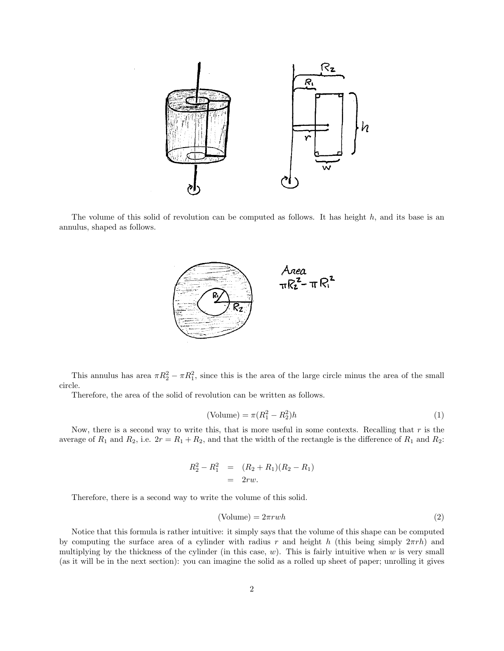

The volume of this solid of revolution can be computed as follows. It has height  $h$ , and its base is an annulus, shaped as follows.



This annulus has area  $\pi R_2^2 - \pi R_1^2$ , since this is the area of the large circle minus the area of the small circle.

Therefore, the area of the solid of revolution can be written as follows.

$$
(\text{Volume}) = \pi (R_1^2 - R_2^2)h\tag{1}
$$

Now, there is a second way to write this, that is more useful in some contexts. Recalling that  $r$  is the average of  $R_1$  and  $R_2$ , i.e.  $2r = R_1 + R_2$ , and that the width of the rectangle is the difference of  $R_1$  and  $R_2$ :

$$
R_2^2 - R_1^2 = (R_2 + R_1)(R_2 - R_1) = 2rw.
$$

Therefore, there is a second way to write the volume of this solid.

$$
(\text{Volume}) = 2\pi rwh \tag{2}
$$

Notice that this formula is rather intuitive: it simply says that the volume of this shape can be computed by computing the surface area of a cylinder with radius r and height h (this being simply  $2\pi rh$ ) and multiplying by the thickness of the cylinder (in this case,  $w$ ). This is fairly intuitive when  $w$  is very small (as it will be in the next section): you can imagine the solid as a rolled up sheet of paper; unrolling it gives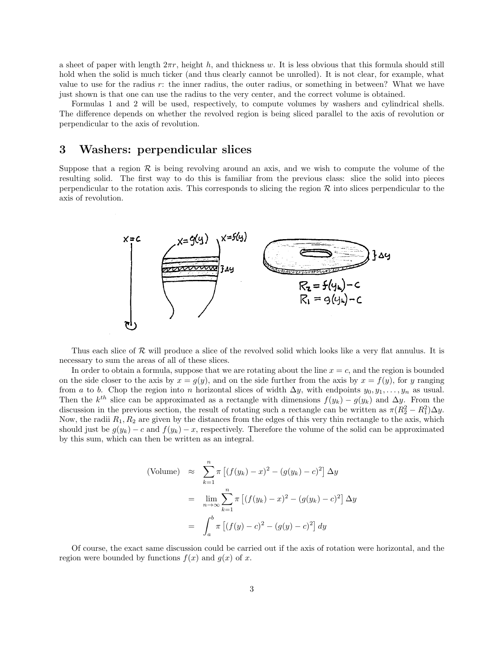a sheet of paper with length  $2\pi r$ , height h, and thickness w. It is less obvious that this formula should still hold when the solid is much ticker (and thus clearly cannot be unrolled). It is not clear, for example, what value to use for the radius r: the inner radius, the outer radius, or something in between? What we have just shown is that one can use the radius to the very center, and the correct volume is obtained.

Formulas 1 and 2 will be used, respectively, to compute volumes by washers and cylindrical shells. The difference depends on whether the revolved region is being sliced parallel to the axis of revolution or perpendicular to the axis of revolution.

#### 3 Washers: perpendicular slices

Suppose that a region  $\mathcal R$  is being revolving around an axis, and we wish to compute the volume of the resulting solid. The first way to do this is familiar from the previous class: slice the solid into pieces perpendicular to the rotation axis. This corresponds to slicing the region  $R$  into slices perpendicular to the axis of revolution.



Thus each slice of  $R$  will produce a slice of the revolved solid which looks like a very flat annulus. It is necessary to sum the areas of all of these slices.

In order to obtain a formula, suppose that we are rotating about the line  $x = c$ , and the region is bounded on the side closer to the axis by  $x = g(y)$ , and on the side further from the axis by  $x = f(y)$ , for y ranging from a to b. Chop the region into n horizontal slices of width  $\Delta y$ , with endpoints  $y_0, y_1, \ldots, y_n$  as usual. Then the  $k^{th}$  slice can be approximated as a rectangle with dimensions  $f(y_k) - g(y_k)$  and  $\Delta y$ . From the discussion in the previous section, the result of rotating such a rectangle can be written as  $\pi (R_2^2 - R_1^2) \Delta y$ . Now, the radii  $R_1, R_2$  are given by the distances from the edges of this very thin rectangle to the axis, which should just be  $g(y_k) - c$  and  $f(y_k) - x$ , respectively. Therefore the volume of the solid can be approximated by this sum, which can then be written as an integral.

(Volume) 
$$
\approx \sum_{k=1}^{n} \pi \left[ (f(y_k) - x)^2 - (g(y_k) - c)^2 \right] \Delta y
$$
  
\n $= \lim_{n \to \infty} \sum_{k=1}^{n} \pi \left[ (f(y_k) - x)^2 - (g(y_k) - c)^2 \right] \Delta y$   
\n $= \int_{a}^{b} \pi \left[ (f(y) - c)^2 - (g(y) - c)^2 \right] dy$ 

Of course, the exact same discussion could be carried out if the axis of rotation were horizontal, and the region were bounded by functions  $f(x)$  and  $g(x)$  of x.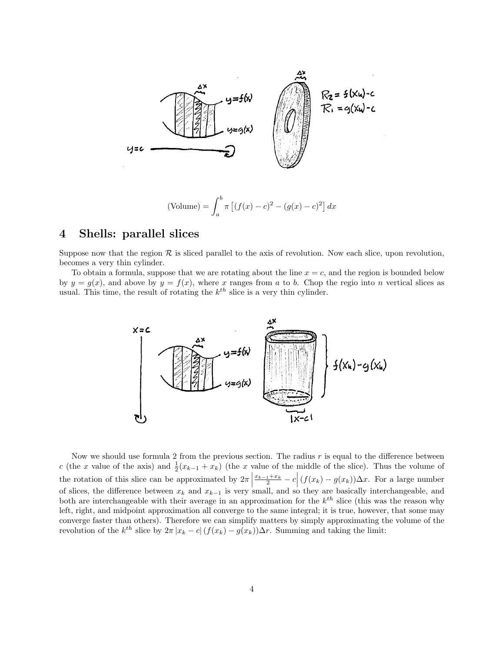

#### 4 Shells: parallel slices

Suppose now that the region  $\mathcal R$  is sliced parallel to the axis of revolution. Now each slice, upon revolution, becomes a very thin cylinder.

To obtain a formula, suppose that we are rotating about the line  $x = c$ , and the region is bounded below by  $y = g(x)$ , and above by  $y = f(x)$ , where x ranges from a to b. Chop the regio into n vertical slices as usual. This time, the result of rotating the  $k^{th}$  slice is a very thin cylinder.



Now we should use formula 2 from the previous section. The radius  $r$  is equal to the difference between c (the x value of the axis) and  $\frac{1}{2}(x_{k-1} + x_k)$  (the x value of the middle of the slice). Thus the volume of the rotation of this slice can be approximated by  $2\pi$  $\frac{x_{k-1}+x_k}{2} - c \Big| (f(x_k) - g(x_k)) \Delta x$ . For a large number of slices, the difference between  $x_k$  and  $x_{k-1}$  is very small, and so they are basically interchangeable, and both are interchangeable with their average in an approximation for the  $k^{th}$  slice (this was the reason why left, right, and midpoint approximation all converge to the same integral; it is true, however, that some may converge faster than others). Therefore we can simplify matters by simply approximating the volume of the revolution of the  $k^{th}$  slice by  $2\pi |x_k - c| (f(x_k) - g(x_k))\Delta r$ . Summing and taking the limit: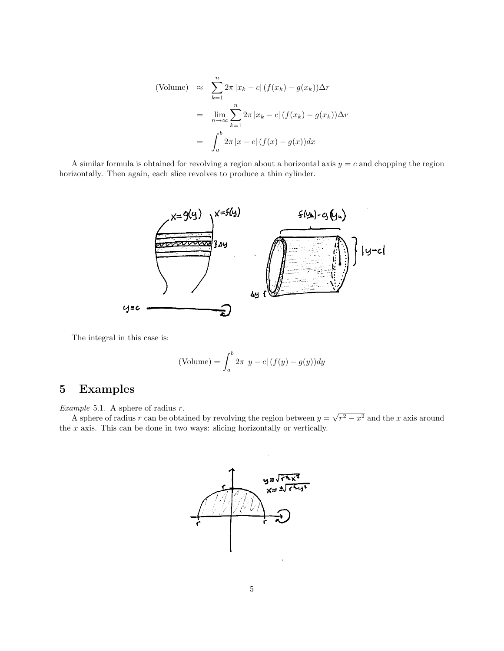(Volume) 
$$
\approx \sum_{k=1}^{n} 2\pi |x_k - c| (f(x_k) - g(x_k)) \Delta r
$$
  
\n
$$
= \lim_{n \to \infty} \sum_{k=1}^{n} 2\pi |x_k - c| (f(x_k) - g(x_k)) \Delta r
$$
\n
$$
= \int_{a}^{b} 2\pi |x - c| (f(x) - g(x)) dx
$$

A similar formula is obtained for revolving a region about a horizontal axis  $y = c$  and chopping the region horizontally. Then again, each slice revolves to produce a thin cylinder.



The integral in this case is:

(Volume) = 
$$
\int_{a}^{b} 2\pi |y - c| (f(y) - g(y)) dy
$$

## 5 Examples

Example 5.1. A sphere of radius  $r$ .

A sphere of radius r can be obtained by revolving the region between  $y =$ √  $r^2 - x^2$  and the x axis around the  $x$  axis. This can be done in two ways: slicing horizontally or vertically.

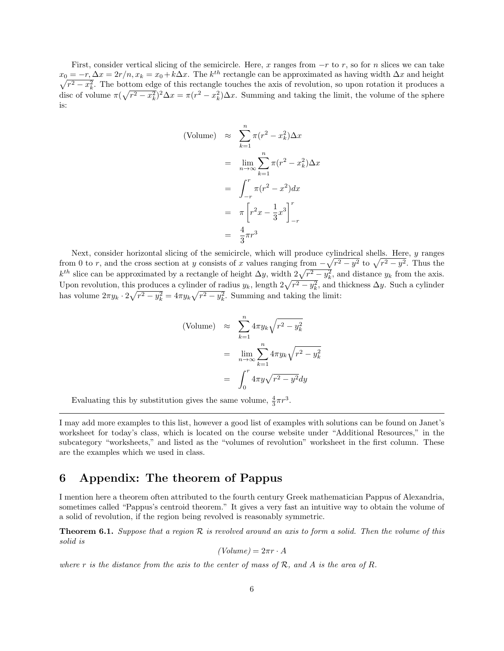First, consider vertical slicing of the semicircle. Here, x ranges from  $-r$  to r, so for n slices we can take  $x_0 = -r, \Delta x = 2r/n, x_k = x_0 + k\Delta x$ . The  $k^{th}$  rectangle can be approximated as having width  $\Delta x$  and height  $\sqrt{r^2 - x_k^2}$ . The bottom edge of this rectangle touches the axis of revolution, so upon rotation it produces a disc of volume  $\pi(\sqrt{r^2 - x_k^2})^2 \Delta x = \pi(r^2 - x_k^2) \Delta x$ . Summing and taking the limit, the volume of the sphere is:

(Volume) 
$$
\approx \sum_{k=1}^{n} \pi (r^2 - x_k^2) \Delta x
$$
  
\n
$$
= \lim_{n \to \infty} \sum_{k=1}^{n} \pi (r^2 - x_k^2) \Delta x
$$
\n
$$
= \int_{-r}^{r} \pi (r^2 - x^2) dx
$$
\n
$$
= \pi \left[ r^2 x - \frac{1}{3} x^3 \right]_{-r}^{r}
$$
\n
$$
= \frac{4}{3} \pi r^3
$$

Next, consider horizontal slicing of the semicircle, which will produce cylindrical shells. Here, y ranges from 0 to r, and the cross section at y consists of x values ranging from  $-\sqrt{r^2 - y^2}$  to  $\sqrt{r^2 - y^2}$ . Thus the  $k^{th}$  slice can be approximated by a rectangle of height  $\Delta y$ , width  $2\sqrt{r^2 - y_k^2}$ , and distance  $y_k$  from the axis. Upon revolution, this produces a cylinder of radius  $y_k$ , length  $2\sqrt{r^2 - y_k^2}$ , and thickness  $\Delta y$ . Such a cylinder has volume  $2\pi y_k \cdot 2\sqrt{r^2 - y_k^2} = 4\pi y_k \sqrt{r^2 - y_k^2}$ . Summing and taking the limit:

(Volume) 
$$
\approx \sum_{k=1}^{n} 4\pi y_k \sqrt{r^2 - y_k^2}
$$
  
\n
$$
= \lim_{n \to \infty} \sum_{k=1}^{n} 4\pi y_k \sqrt{r^2 - y_k^2}
$$
\n
$$
= \int_0^r 4\pi y \sqrt{r^2 - y^2} dy
$$

Evaluating this by substitution gives the same volume,  $\frac{4}{3}\pi r^3$ .

I may add more examples to this list, however a good list of examples with solutions can be found on Janet's worksheet for today's class, which is located on the course website under "Additional Resources," in the subcategory "worksheets," and listed as the "volumes of revolution" worksheet in the first column. These are the examples which we used in class.

## 6 Appendix: The theorem of Pappus

I mention here a theorem often attributed to the fourth century Greek mathematician Pappus of Alexandria, sometimes called "Pappus's centroid theorem." It gives a very fast an intuitive way to obtain the volume of a solid of revolution, if the region being revolved is reasonably symmetric.

**Theorem 6.1.** Suppose that a region  $\mathcal{R}$  is revolved around an axis to form a solid. Then the volume of this solid is

$$
(Volume) = 2\pi r \cdot A
$$

where r is the distance from the axis to the center of mass of  $\mathcal{R}$ , and  $A$  is the area of  $R$ .